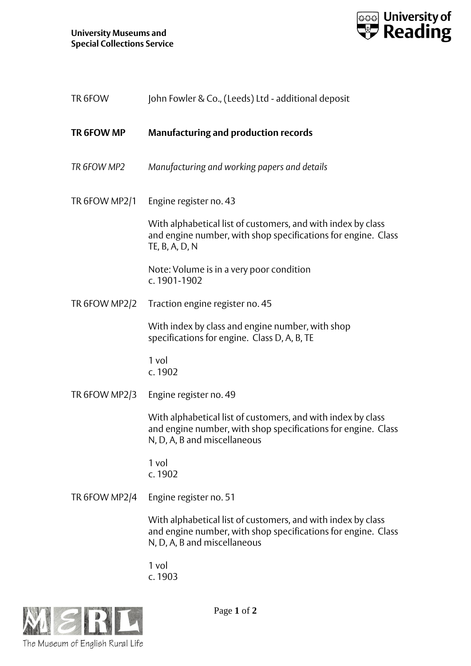

| TR 6FOW       | John Fowler & Co., (Leeds) Ltd - additional deposit                                                                                                           |
|---------------|---------------------------------------------------------------------------------------------------------------------------------------------------------------|
| TR 6FOW MP    | <b>Manufacturing and production records</b>                                                                                                                   |
| TR 6FOW MP2   | Manufacturing and working papers and details                                                                                                                  |
| TR 6FOW MP2/1 | Engine register no. 43                                                                                                                                        |
|               | With alphabetical list of customers, and with index by class<br>and engine number, with shop specifications for engine. Class<br>TE, B, A, D, N               |
|               | Note: Volume is in a very poor condition<br>c. 1901-1902                                                                                                      |
| TR 6FOW MP2/2 | Traction engine register no. 45                                                                                                                               |
|               | With index by class and engine number, with shop<br>specifications for engine. Class D, A, B, TE                                                              |
|               | 1 vol<br>c. 1902                                                                                                                                              |
| TR 6FOW MP2/3 | Engine register no. 49                                                                                                                                        |
|               | With alphabetical list of customers, and with index by class<br>and engine number, with shop specifications for engine. Class<br>N, D, A, B and miscellaneous |
|               | 1 vol<br>c. 1902                                                                                                                                              |
| TR 6FOW MP2/4 | Engine register no. 51                                                                                                                                        |
|               | With alphabetical list of customers, and with index by class<br>and engine number, with shop specifications for engine. Class<br>N, D, A, B and miscellaneous |
|               | 1 vol<br>c. 1903                                                                                                                                              |